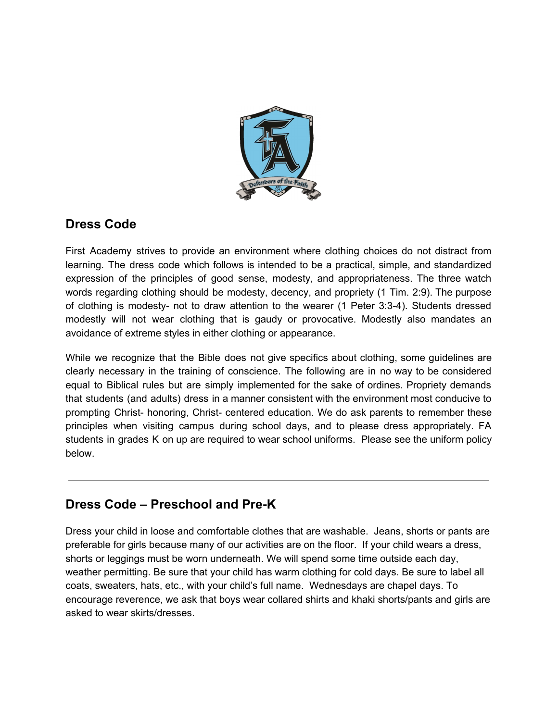

## **Dress Code**

First Academy strives to provide an environment where clothing choices do not distract from learning. The dress code which follows is intended to be a practical, simple, and standardized expression of the principles of good sense, modesty, and appropriateness. The three watch words regarding clothing should be modesty, decency, and propriety (1 Tim. 2:9). The purpose of clothing is modesty- not to draw attention to the wearer (1 Peter 3:3-4). Students dressed modestly will not wear clothing that is gaudy or provocative. Modestly also mandates an avoidance of extreme styles in either clothing or appearance.

While we recognize that the Bible does not give specifics about clothing, some guidelines are clearly necessary in the training of conscience. The following are in no way to be considered equal to Biblical rules but are simply implemented for the sake of ordines. Propriety demands that students (and adults) dress in a manner consistent with the environment most conducive to prompting Christ- honoring, Christ- centered education. We do ask parents to remember these principles when visiting campus during school days, and to please dress appropriately. FA students in grades K on up are required to wear school uniforms. Please see the uniform policy below.

# **Dress Code – Preschool and Pre-K**

Dress your child in loose and comfortable clothes that are washable. Jeans, shorts or pants are preferable for girls because many of our activities are on the floor. If your child wears a dress, shorts or leggings must be worn underneath. We will spend some time outside each day, weather permitting. Be sure that your child has warm clothing for cold days. Be sure to label all coats, sweaters, hats, etc., with your child's full name. Wednesdays are chapel days. To encourage reverence, we ask that boys wear collared shirts and khaki shorts/pants and girls are asked to wear skirts/dresses.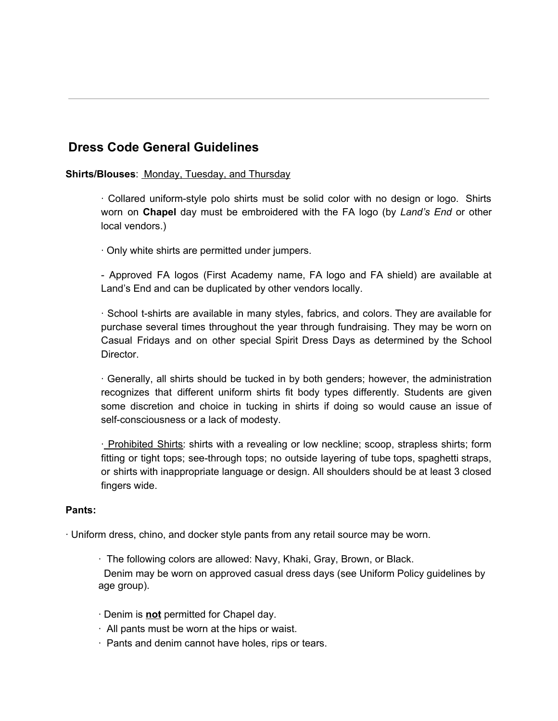## **Dress Code General Guidelines**

#### **Shirts/Blouses**: Monday, Tuesday, and Thursday

· Collared uniform-style polo shirts must be solid color with no design or logo. Shirts worn on **Chapel** day must be embroidered with the FA logo (by *Land's End* or other local vendors.)

· Only white shirts are permitted under jumpers.

- Approved FA logos (First Academy name, FA logo and FA shield) are available at Land's End and can be duplicated by other vendors locally.

· School t-shirts are available in many styles, fabrics, and colors. They are available for purchase several times throughout the year through fundraising. They may be worn on Casual Fridays and on other special Spirit Dress Days as determined by the School Director.

· Generally, all shirts should be tucked in by both genders; however, the administration recognizes that different uniform shirts fit body types differently. Students are given some discretion and choice in tucking in shirts if doing so would cause an issue of self-consciousness or a lack of modesty.

· Prohibited Shirts: shirts with a revealing or low neckline; scoop, strapless shirts; form fitting or tight tops; see-through tops; no outside layering of tube tops, spaghetti straps, or shirts with inappropriate language or design. All shoulders should be at least 3 closed fingers wide.

#### **Pants:**

· Uniform dress, chino, and docker style pants from any retail source may be worn.

· The following colors are allowed: Navy, Khaki, Gray, Brown, or Black.

Denim may be worn on approved casual dress days (see Uniform Policy guidelines by age group).

- · Denim is **not** permitted for Chapel day.
- $\cdot$  All pants must be worn at the hips or waist.
- · Pants and denim cannot have holes, rips or tears.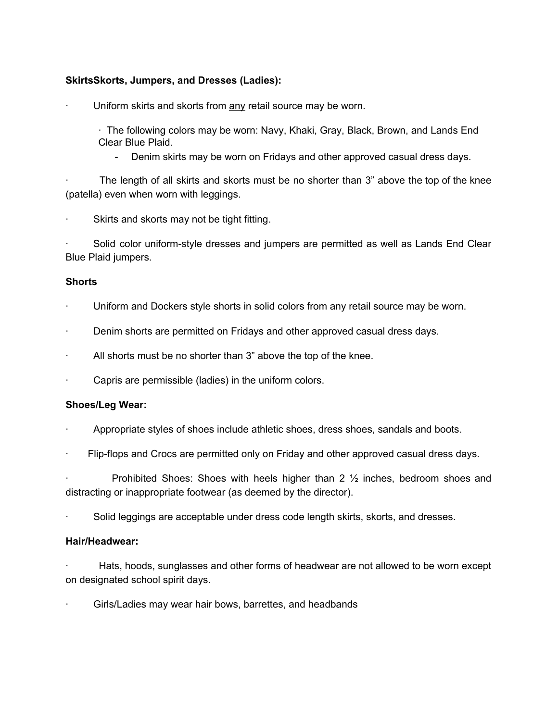#### **SkirtsSkorts, Jumpers, and Dresses (Ladies):**

Uniform skirts and skorts from any retail source may be worn.

· The following colors may be worn: Navy, Khaki, Gray, Black, Brown, and Lands End Clear Blue Plaid.

- Denim skirts may be worn on Fridays and other approved casual dress days.

The length of all skirts and skorts must be no shorter than 3" above the top of the knee (patella) even when worn with leggings.

Skirts and skorts may not be tight fitting.

Solid color uniform-style dresses and jumpers are permitted as well as Lands End Clear Blue Plaid jumpers.

#### **Shorts**

- Uniform and Dockers style shorts in solid colors from any retail source may be worn.
- · Denim shorts are permitted on Fridays and other approved casual dress days.
- All shorts must be no shorter than 3" above the top of the knee.
- Capris are permissible (ladies) in the uniform colors.

#### **Shoes/Leg Wear:**

- · Appropriate styles of shoes include athletic shoes, dress shoes, sandals and boots.
- · Flip-flops and Crocs are permitted only on Friday and other approved casual dress days.

Prohibited Shoes: Shoes with heels higher than  $2 \frac{1}{2}$  inches, bedroom shoes and distracting or inappropriate footwear (as deemed by the director).

· Solid leggings are acceptable under dress code length skirts, skorts, and dresses.

#### **Hair/Headwear:**

Hats, hoods, sunglasses and other forms of headwear are not allowed to be worn except on designated school spirit days.

Girls/Ladies may wear hair bows, barrettes, and headbands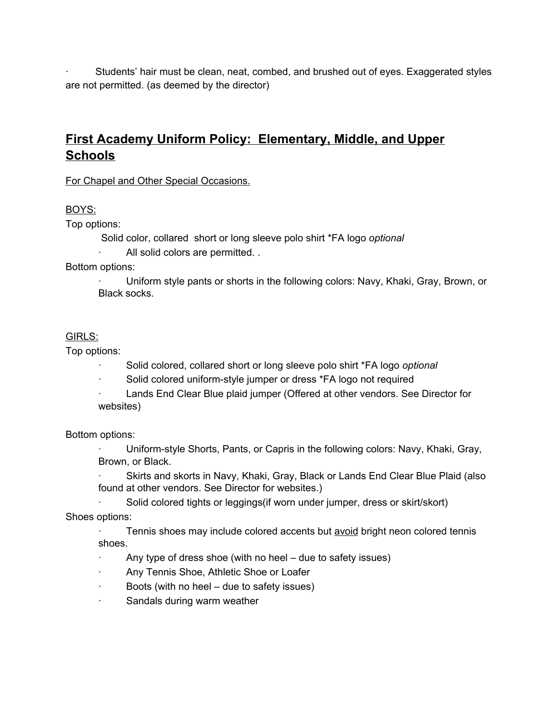· Students' hair must be clean, neat, combed, and brushed out of eyes. Exaggerated styles are not permitted. (as deemed by the director)

# **First Academy Uniform Policy: Elementary, Middle, and Upper Schools**

For Chapel and Other Special Occasions.

### BOYS:

Top options:

Solid color, collared short or long sleeve polo shirt \*FA logo *optional* · All solid colors are permitted. .

Bottom options:

· Uniform style pants or shorts in the following colors: Navy, Khaki, Gray, Brown, or Black socks.

## GIRLS:

Top options:

- · Solid colored, collared short or long sleeve polo shirt \*FA logo *optional*
- · Solid colored uniform-style jumper or dress \*FA logo not required

Lands End Clear Blue plaid jumper (Offered at other vendors. See Director for websites)

### Bottom options:

· Uniform-style Shorts, Pants, or Capris in the following colors: Navy, Khaki, Gray, Brown, or Black.

Skirts and skorts in Navy, Khaki, Gray, Black or Lands End Clear Blue Plaid (also found at other vendors. See Director for websites.)

· Solid colored tights or leggings(if worn under jumper, dress or skirt/skort)

Shoes options:

· Tennis shoes may include colored accents but avoid bright neon colored tennis shoes.

- $\cdot$  Any type of dress shoe (with no heel due to safety issues)
- · Any Tennis Shoe, Athletic Shoe or Loafer
- · Boots (with no heel due to safety issues)
- · Sandals during warm weather